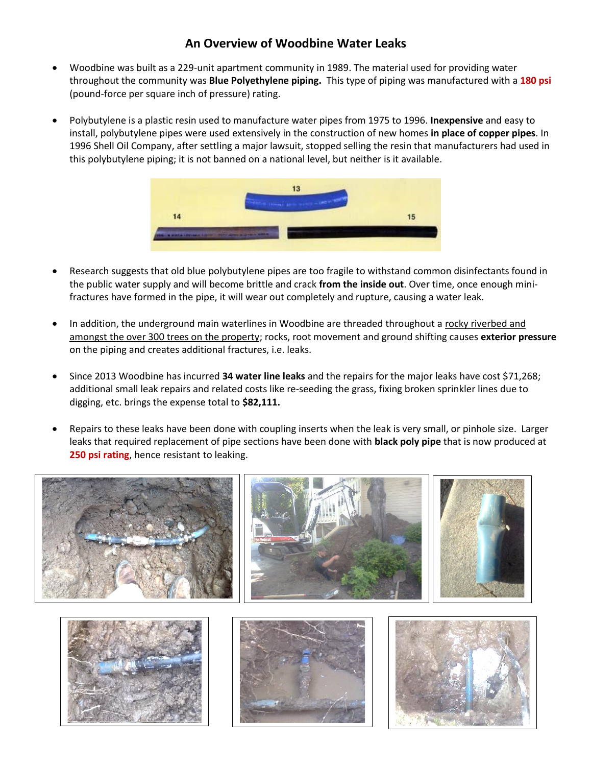## **An Overview of Woodbine Water Leaks**

- Woodbine was built as a 229-unit apartment community in 1989. The material used for providing water throughout the community was **Blue Polyethylene piping.** This type of piping was manufactured with a **180 psi** (pound-force per square inch of pressure) rating.
- Polybutylene is a plastic resin used to manufacture water pipes from 1975 to 1996. **Inexpensive** and easy to install, polybutylene pipes were used extensively in the construction of new homes **in place of copper pipes**. In 1996 Shell Oil Company, after settling a major lawsuit, stopped selling the resin that manufacturers had used in this polybutylene piping; it is not banned on a national level, but neither is it available.



- Research suggests that old blue polybutylene pipes are too fragile to withstand common disinfectants found in the public water supply and will become brittle and crack **from the inside out**. Over time, once enough minifractures have formed in the pipe, it will wear out completely and rupture, causing a water leak.
- In addition, the underground main waterlines in Woodbine are threaded throughout a rocky riverbed and amongst the over 300 trees on the property; rocks, root movement and ground shifting causes **exterior pressure** on the piping and creates additional fractures, i.e. leaks.
- Since 2013 Woodbine has incurred **34 water line leaks** and the repairs for the major leaks have cost \$71,268; additional small leak repairs and related costs like re-seeding the grass, fixing broken sprinkler lines due to digging, etc. brings the expense total to **\$82,111.**
- Repairs to these leaks have been done with coupling inserts when the leak is very small, or pinhole size. Larger leaks that required replacement of pipe sections have been done with **black poly pipe** that is now produced at **250 psi rating**, hence resistant to leaking.

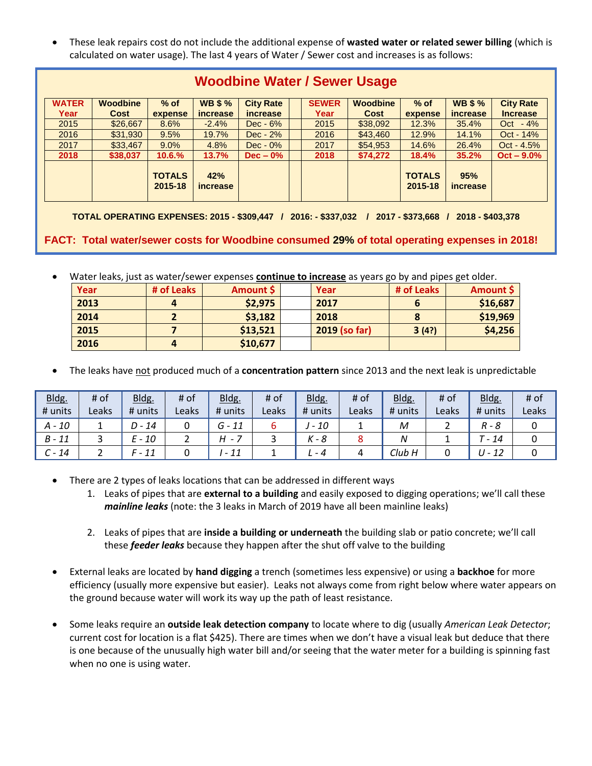• These leak repairs cost do not include the additional expense of **wasted water or related sewer billing** (which is calculated on water usage). The last 4 years of Water / Sewer cost and increases is as follows:

| Woodbine Water / Sewer Usage |                         |                          |                                  |                                     |  |                      |                                |                          |                                   |                                     |
|------------------------------|-------------------------|--------------------------|----------------------------------|-------------------------------------|--|----------------------|--------------------------------|--------------------------|-----------------------------------|-------------------------------------|
| <b>WATER</b><br>Year         | <b>Woodbine</b><br>Cost | $%$ of<br>expense        | <b>WB \$%</b><br><i>increase</i> | <b>City Rate</b><br><i>increase</i> |  | <b>SEWER</b><br>Year | <b>Woodbine</b><br><b>Cost</b> | $%$ of<br>expense        | <b>WB \$ %</b><br><i>increase</i> | <b>City Rate</b><br><b>Increase</b> |
| 2015                         | \$26,667                | 8.6%                     | $-2.4%$                          | $Dec - 6%$                          |  | 2015                 | \$38,092                       | 12.3%                    | 35.4%                             | $-4%$<br>Oct                        |
| 2016                         | \$31,930                | 9.5%                     | 19.7%                            | $Dec - 2\%$                         |  | 2016                 | \$43,460                       | 12.9%                    | 14.1%                             | Oct - 14%                           |
| 2017                         | \$33,467                | 9.0%                     | 4.8%                             | $Dec - 0\%$                         |  | 2017                 | \$54,953                       | 14.6%                    | 26.4%                             | $Oct - 4.5%$                        |
| 2018                         | \$38,037                | 10.6.%                   | 13.7%                            | $Dec - 0\%$                         |  | 2018                 | \$74,272                       | 18.4%                    | 35.2%                             | $Oct - 9.0\%$                       |
|                              |                         | <b>TOTALS</b><br>2015-18 | 42%<br><i>increase</i>           |                                     |  |                      |                                | <b>TOTALS</b><br>2015-18 | 95%<br><i>increase</i>            |                                     |

## **Woodbine Water / Sewer Usage**

**TOTAL OPERATING EXPENSES: 2015 - \$309,447 / 2016: - \$337,032 / 2017 - \$373,668 / 2018 - \$403,378**

**FACT: Total water/sewer costs for Woodbine consumed 29% of total operating expenses in 2018!**

• Water leaks, just as water/sewer expenses **continue to increase** as years go by and pipes get older.

| Year | # of Leaks | Amount \$ | Year          | # of Leaks | Amount \$ |
|------|------------|-----------|---------------|------------|-----------|
| 2013 |            | \$2,975   | 2017          |            | \$16,687  |
| 2014 |            | \$3,182   | 2018          |            | \$19,969  |
| 2015 |            | \$13,521  | 2019 (so far) | 3(4?)      | \$4,256   |
| 2016 |            | \$10,677  |               |            |           |

• The leaks have not produced much of a **concentration pattern** since 2013 and the next leak is unpredictable

| Bldg.     | # of  | Bldg.    | # of  | Bldg.    | # of  | Bldg.   | # of  | Bldg.   | # of  | Bldg.                          | # of  |
|-----------|-------|----------|-------|----------|-------|---------|-------|---------|-------|--------------------------------|-------|
| # units   | Leaks | # units  | Leaks | # units  | Leaks | # units | Leaks | # units | Leaks | # units                        | Leaks |
| $A - 10$  |       | $D - 14$ |       | $G - 11$ | ь     | $-10$   |       | M       |       | $R - 8$                        |       |
| $B - 11$  |       | E - 10   |       | H -      |       | - 8     |       |         |       | 14<br>$\overline{\phantom{0}}$ |       |
| 14<br>C - |       | F - 11   |       | - 11     |       | - 4     |       | Club H  |       | $U - 12$                       |       |

- There are 2 types of leaks locations that can be addressed in different ways
	- 1. Leaks of pipes that are **external to a building** and easily exposed to digging operations; we'll call these *mainline leaks* (note: the 3 leaks in March of 2019 have all been mainline leaks)
	- 2. Leaks of pipes that are **inside a building or underneath** the building slab or patio concrete; we'll call these *feeder leaks* because they happen after the shut off valve to the building
- External leaks are located by **hand digging** a trench (sometimes less expensive) or using a **backhoe** for more efficiency (usually more expensive but easier). Leaks not always come from right below where water appears on the ground because water will work its way up the path of least resistance.
- Some leaks require an **outside leak detection company** to locate where to dig (usually *American Leak Detector*; current cost for location is a flat \$425). There are times when we don't have a visual leak but deduce that there is one because of the unusually high water bill and/or seeing that the water meter for a building is spinning fast when no one is using water.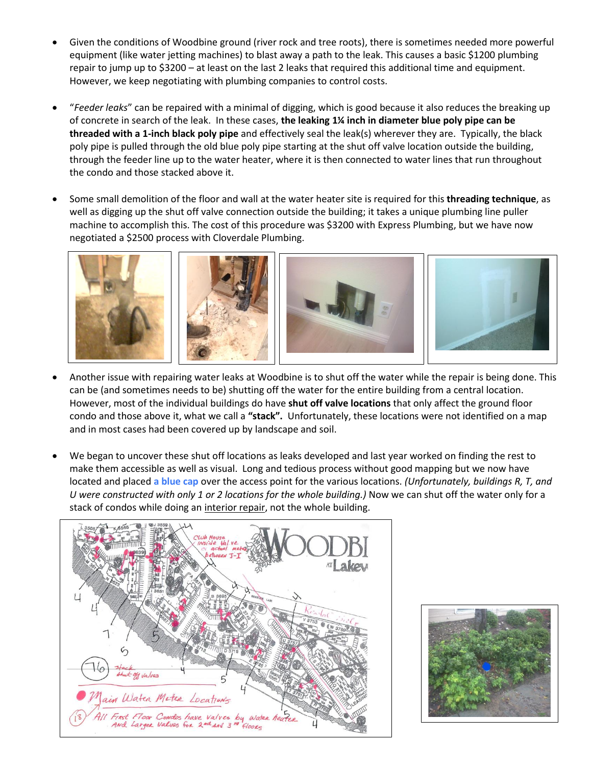- Given the conditions of Woodbine ground (river rock and tree roots), there is sometimes needed more powerful equipment (like water jetting machines) to blast away a path to the leak. This causes a basic \$1200 plumbing repair to jump up to \$3200 – at least on the last 2 leaks that required this additional time and equipment. However, we keep negotiating with plumbing companies to control costs.
- "*Feeder leaks*" can be repaired with a minimal of digging, which is good because it also reduces the breaking up of concrete in search of the leak. In these cases, **the leaking 1¼ inch in diameter blue poly pipe can be threaded with a 1-inch black poly pipe** and effectively seal the leak(s) wherever they are. Typically, the black poly pipe is pulled through the old blue poly pipe starting at the shut off valve location outside the building, through the feeder line up to the water heater, where it is then connected to water lines that run throughout the condo and those stacked above it.
- Some small demolition of the floor and wall at the water heater site is required for this **threading technique**, as well as digging up the shut off valve connection outside the building; it takes a unique plumbing line puller machine to accomplish this. The cost of this procedure was \$3200 with Express Plumbing, but we have now negotiated a \$2500 process with Cloverdale Plumbing.



- Another issue with repairing water leaks at Woodbine is to shut off the water while the repair is being done. This can be (and sometimes needs to be) shutting off the water for the entire building from a central location. However, most of the individual buildings do have **shut off valve locations** that only affect the ground floor condo and those above it, what we call a **"stack".** Unfortunately, these locations were not identified on a map and in most cases had been covered up by landscape and soil.
- We began to uncover these shut off locations as leaks developed and last year worked on finding the rest to make them accessible as well as visual. Long and tedious process without good mapping but we now have located and placed **a blue cap** over the access point for the various locations. *(Unfortunately, buildings R, T, and U were constructed with only 1 or 2 locations for the whole building.)* Now we can shut off the water only for a stack of condos while doing an interior repair, not the whole building.



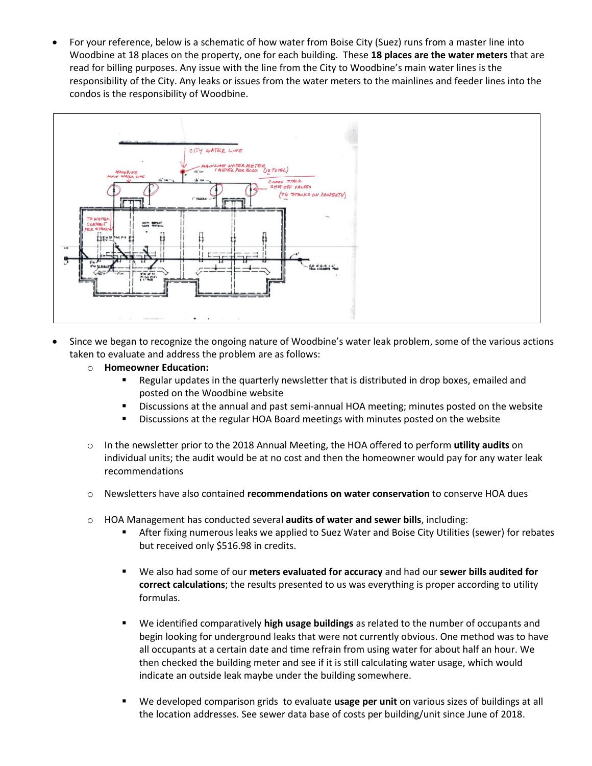• For your reference, below is a schematic of how water from Boise City (Suez) runs from a master line into Woodbine at 18 places on the property, one for each building. These **18 places are the water meters** that are read for billing purposes. Any issue with the line from the City to Woodbine's main water lines is the responsibility of the City. Any leaks or issues from the water meters to the mainlines and feeder lines into the condos is the responsibility of Woodbine.



- Since we began to recognize the ongoing nature of Woodbine's water leak problem, some of the various actions taken to evaluate and address the problem are as follows:
	- o **Homeowner Education:**
		- Regular updates in the quarterly newsletter that is distributed in drop boxes, emailed and posted on the Woodbine website
		- **EXEDENT** Discussions at the annual and past semi-annual HOA meeting; minutes posted on the website
		- **EXEDENGE 20 IS CONCOCOLLY ASSESS** Discussions at the regular HOA Board meetings with minutes posted on the website
	- o In the newsletter prior to the 2018 Annual Meeting, the HOA offered to perform **utility audits** on individual units; the audit would be at no cost and then the homeowner would pay for any water leak recommendations
	- o Newsletters have also contained **recommendations on water conservation** to conserve HOA dues
	- o HOA Management has conducted several **audits of water and sewer bills**, including:
		- **EXECT:** After fixing numerous leaks we applied to Suez Water and Boise City Utilities (sewer) for rebates but received only \$516.98 in credits.
		- We also had some of our **meters evaluated for accuracy** and had our **sewer bills audited for correct calculations**; the results presented to us was everything is proper according to utility formulas.
		- We identified comparatively **high usage buildings** as related to the number of occupants and begin looking for underground leaks that were not currently obvious. One method was to have all occupants at a certain date and time refrain from using water for about half an hour. We then checked the building meter and see if it is still calculating water usage, which would indicate an outside leak maybe under the building somewhere.
		- We developed comparison grids to evaluate usage per unit on various sizes of buildings at all the location addresses. See sewer data base of costs per building/unit since June of 2018.